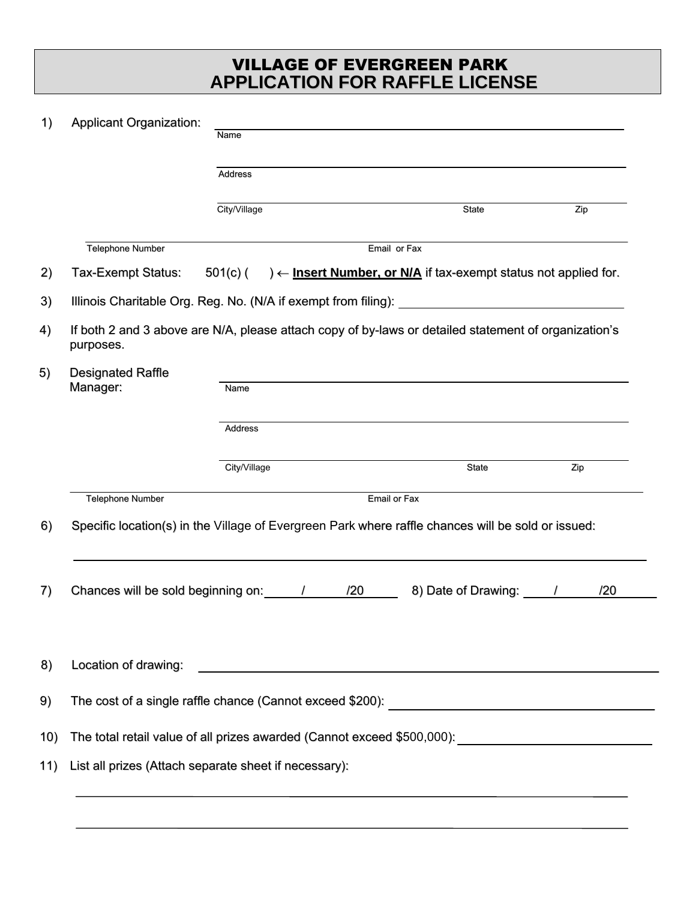## **APPLICATION FOR RAFFLE LICENSE** VILLAGE OF EVERGREEN PARK

| 1)  | <b>Applicant Organization:</b>                                                                                    | Name<br><b>Address</b>                                                                  |  |              |     |
|-----|-------------------------------------------------------------------------------------------------------------------|-----------------------------------------------------------------------------------------|--|--------------|-----|
|     |                                                                                                                   |                                                                                         |  |              |     |
|     |                                                                                                                   | City/Village                                                                            |  | State        | Zip |
|     | <b>Telephone Number</b>                                                                                           | Email or Fax                                                                            |  |              |     |
| 2)  | Tax-Exempt Status:                                                                                                | $\rightarrow$ - Insert Number, or N/A if tax-exempt status not applied for.<br>501(c) ( |  |              |     |
| 3)  |                                                                                                                   |                                                                                         |  |              |     |
| 4)  | If both 2 and 3 above are N/A, please attach copy of by-laws or detailed statement of organization's<br>purposes. |                                                                                         |  |              |     |
| 5)  | <b>Designated Raffle</b><br>Manager:                                                                              | Name                                                                                    |  |              |     |
|     |                                                                                                                   | <b>Address</b>                                                                          |  |              |     |
|     |                                                                                                                   | City/Village                                                                            |  | <b>State</b> | Zip |
|     | <b>Telephone Number</b>                                                                                           | Email or Fax                                                                            |  |              |     |
| 6)  | Specific location(s) in the Village of Evergreen Park where raffle chances will be sold or issued:                |                                                                                         |  |              |     |
| 7)  | 8) Date of Drawing: /<br>/20                                                                                      |                                                                                         |  |              |     |
| 8)  | Location of drawing:                                                                                              |                                                                                         |  |              |     |
| 9)  |                                                                                                                   |                                                                                         |  |              |     |
| 10) | The total retail value of all prizes awarded (Cannot exceed \$500,000): \\essum_______________________________    |                                                                                         |  |              |     |
| 11) | List all prizes (Attach separate sheet if necessary):                                                             |                                                                                         |  |              |     |
|     |                                                                                                                   |                                                                                         |  |              |     |